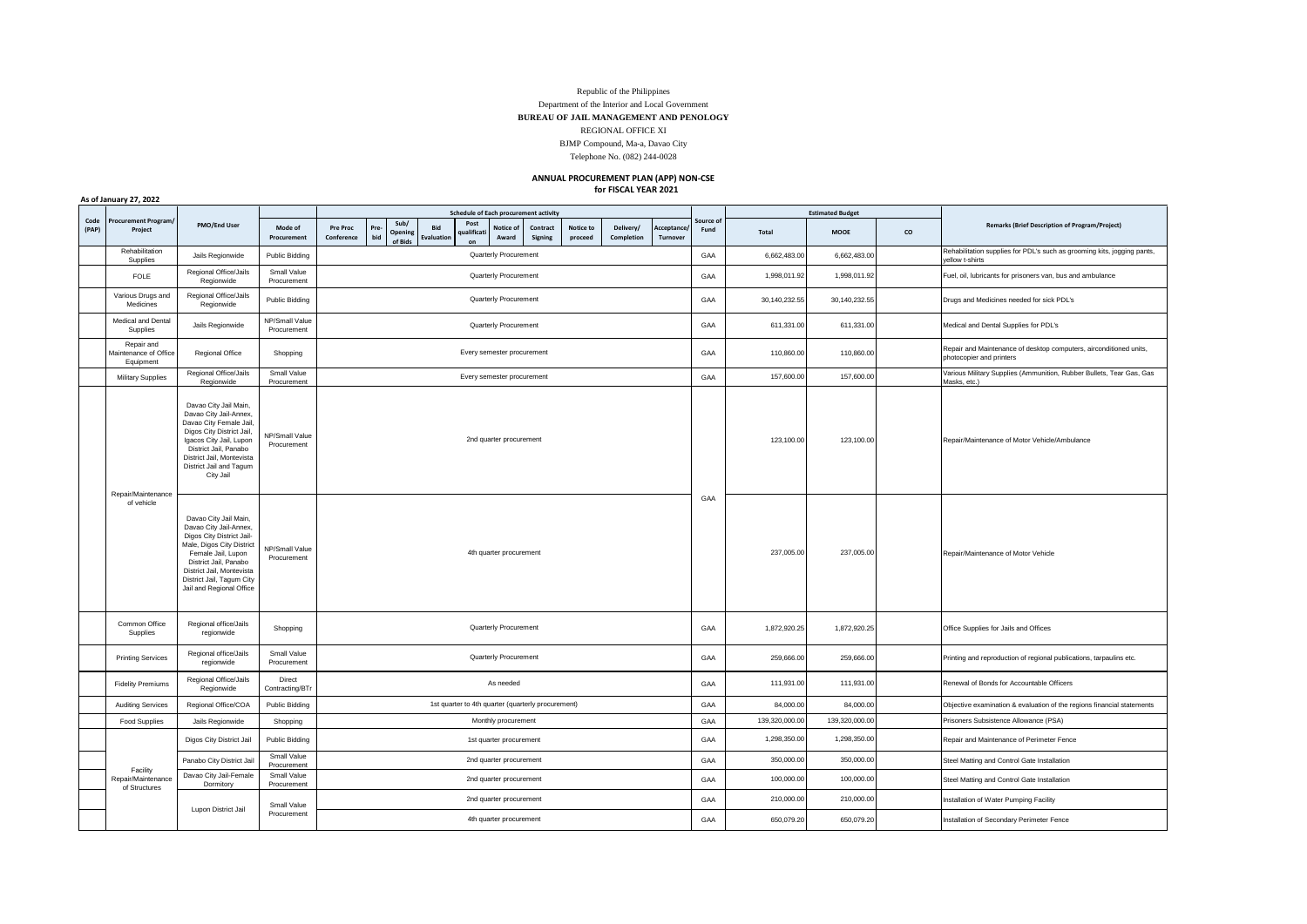## Republic of the Philippines

Department of the Interior and Local Government **BUREAU OF JAIL MANAGEMENT AND PENOLOGY**

REGIONAL OFFICE XI

BJMP Compound, Ma-a, Davao City

Telephone No. (082) 244-0028

## **ANNUAL PROCUREMENT PLAN (APP) NON-CSE for FISCAL YEAR 2021**

|  |  | As of January 27, 2022 |
|--|--|------------------------|
|  |  |                        |

|               |                                                  |                                                                                                                                                                                                                                                |                                    | Schedule of Each procurement activity              |                                                    |                                                        |                         |                            |                     |                      |                         | <b>Estimated Budget</b> |                   |                            |                                                                        |                                             |                                                                                                |
|---------------|--------------------------------------------------|------------------------------------------------------------------------------------------------------------------------------------------------------------------------------------------------------------------------------------------------|------------------------------------|----------------------------------------------------|----------------------------------------------------|--------------------------------------------------------|-------------------------|----------------------------|---------------------|----------------------|-------------------------|-------------------------|-------------------|----------------------------|------------------------------------------------------------------------|---------------------------------------------|------------------------------------------------------------------------------------------------|
| Code<br>(PAP) | Procurement Program/<br>Project                  | PMO/End User                                                                                                                                                                                                                                   | Mode of<br>Procurement             | Pre Proc<br>Conference                             | Pre<br>bid                                         | Sub/<br>Bid<br>Opening<br><b>Evaluation</b><br>of Bids | Post<br>aualifica<br>on | Notice of<br>Award         | Contract<br>Signing | Notice to<br>proceed | Delivery/<br>Completion | Acceptance<br>Turnover  | Source of<br>Fund | <b>MOOE</b><br>co<br>Total | <b>Remarks (Brief Description of Program/Project)</b>                  |                                             |                                                                                                |
|               | Rehabilitation<br>Supplies                       | Jails Regionwide                                                                                                                                                                                                                               | Public Bidding                     |                                                    | Quarterly Procurement                              |                                                        |                         |                            |                     |                      |                         |                         | GAA               | 6,662,483.00               | 6,662,483.00                                                           |                                             | Rehabilitation supplies for PDL's such as grooming kits, jogging pants,<br>yellow t-shirts     |
|               | <b>FOLE</b>                                      | Regional Office/Jails<br>Regionwide                                                                                                                                                                                                            | Small Value<br>Procurement         | Quarterly Procurement                              |                                                    |                                                        |                         |                            |                     |                      |                         |                         | GAA               | 1,998,011.92               | 1,998,011.92                                                           |                                             | Fuel, oil, lubricants for prisoners van, bus and ambulance                                     |
|               | Various Drugs and<br>Medicines                   | Regional Office/Jails<br>Regionwide                                                                                                                                                                                                            | Public Bidding                     |                                                    |                                                    |                                                        |                         | Quarterly Procurement      |                     |                      |                         |                         | GAA               | 30,140,232.55              | 30,140,232.55                                                          |                                             | Drugs and Medicines needed for sick PDL's                                                      |
|               | <b>Medical and Dental</b><br>Supplies            | Jails Regionwide                                                                                                                                                                                                                               | NP/Small Value<br>Procurement      |                                                    |                                                    |                                                        |                         | Quarterly Procurement      |                     |                      |                         |                         | GAA               | 611,331.00                 | 611,331.00                                                             |                                             | Medical and Dental Supplies for PDL's                                                          |
|               | Repair and<br>Maintenance of Office<br>Equipment | Regional Office                                                                                                                                                                                                                                | Shopping                           |                                                    |                                                    |                                                        |                         | Every semester procurement |                     |                      |                         |                         | GAA               | 110,860.00                 | 110,860.00                                                             |                                             | Repair and Maintenance of desktop computers, airconditioned units,<br>photocopier and printers |
|               | Military Supplies                                | Regional Office/Jails<br>Regionwide                                                                                                                                                                                                            | Small Value<br>Procurement         |                                                    |                                                    |                                                        |                         | Every semester procurement |                     |                      |                         |                         | GAA               | 157,600.00                 | 157,600.00                                                             |                                             | Various Military Supplies (Ammunition, Rubber Bullets, Tear Gas, Gas<br>Masks, etc.)           |
|               | Repair/Maintenance                               | Davao City Jail Main,<br>Davao City Jail-Annex,<br>Davao City Female Jail,<br>Digos City District Jail,<br>Igacos City Jail, Lupon<br>District Jail, Panabo<br>District Jail, Montevista<br>District Jail and Tagum<br>City Jail               | NP/Small Value<br>Procurement      |                                                    | 2nd quarter procurement<br>4th quarter procurement |                                                        |                         |                            |                     |                      |                         |                         |                   | 123,100.00                 | 123,100.00                                                             |                                             | Repair/Maintenance of Motor Vehicle/Ambulance                                                  |
| of vehicle    |                                                  | Davao City Jail Main,<br>Davao City Jail-Annex,<br>Digos City District Jail-<br>Male, Digos City District<br>Female Jail, Lupon<br>District Jail, Panabo<br>District Jail, Montevista<br>District Jail, Tagum City<br>Jail and Regional Office | NP/Small Value<br>Procurement      |                                                    |                                                    |                                                        |                         |                            |                     |                      |                         |                         | GAA               | 237,005.00                 | 237,005.00                                                             |                                             | Repair/Maintenance of Motor Vehicle                                                            |
|               | Common Office<br>Supplies                        | Regional office/Jails<br>regionwide                                                                                                                                                                                                            | Shopping                           |                                                    | Quarterly Procurement                              |                                                        |                         |                            |                     |                      |                         | GAA                     | 1,872,920.25      | 1,872,920.25               |                                                                        | Office Supplies for Jails and Offices       |                                                                                                |
|               | <b>Printing Services</b>                         | Regional office/Jails<br>regionwide                                                                                                                                                                                                            | Small Value<br>Procurement         | Quarterly Procurement                              |                                                    |                                                        |                         |                            |                     |                      | GAA                     | 259,666.00              | 259,666.00        |                            | Printing and reproduction of regional publications, tarpaulins etc.    |                                             |                                                                                                |
|               | <b>Fidelity Premiums</b>                         | Regional Office/Jails<br>Regionwide                                                                                                                                                                                                            | Direct<br>Contracting/BT           | As needed                                          |                                                    |                                                        |                         |                            |                     |                      | GAA                     | 111,931.00              | 111,931.00        |                            | Renewal of Bonds for Accountable Officers                              |                                             |                                                                                                |
|               | <b>Auditing Services</b>                         | Regional Office/COA                                                                                                                                                                                                                            | Public Bidding                     | 1st quarter to 4th quarter (quarterly procurement) |                                                    |                                                        |                         |                            |                     |                      | GAA                     | 84,000.00               | 84,000.00         |                            | Objective examination & evaluation of the regions financial statements |                                             |                                                                                                |
|               | <b>Food Supplies</b>                             | Jails Regionwide                                                                                                                                                                                                                               | Shopping                           | Monthly procurement                                |                                                    |                                                        |                         |                            |                     |                      |                         |                         | GAA               | 139,320,000.00             | 139,320,000.00                                                         |                                             | Prisoners Subsistence Allowance (PSA)                                                          |
|               |                                                  | Digos City District Jail                                                                                                                                                                                                                       | Public Bidding                     | 1st quarter procurement                            |                                                    |                                                        |                         |                            |                     |                      | GAA                     | 1,298,350.00            | 1,298,350.00      |                            | Repair and Maintenance of Perimeter Fence                              |                                             |                                                                                                |
|               |                                                  | Panabo City District Jail                                                                                                                                                                                                                      | Small Value<br>Procurement         |                                                    | 2nd quarter procurement                            |                                                        |                         |                            |                     |                      |                         | GAA                     | 350,000.00        | 350,000.00                 |                                                                        | Steel Matting and Control Gate Installation |                                                                                                |
|               | Facility<br>Repair/Maintenance<br>of Structures  | Davao City Jail-Female<br>Dormitory                                                                                                                                                                                                            | Small Value<br>Procurement         |                                                    | 2nd quarter procurement                            |                                                        |                         |                            |                     |                      |                         | GAA                     | 100,000.00        | 100,000.00                 |                                                                        | Steel Matting and Control Gate Installation |                                                                                                |
|               |                                                  |                                                                                                                                                                                                                                                | Small Value                        |                                                    |                                                    |                                                        |                         | 2nd quarter procurement    |                     |                      |                         |                         | GAA               | 210,000.00                 | 210,000.00                                                             |                                             | Installation of Water Pumping Facility                                                         |
|               |                                                  |                                                                                                                                                                                                                                                | Lupon District Jail<br>Procurement |                                                    |                                                    |                                                        |                         | 4th quarter procurement    |                     |                      |                         |                         | GAA               | 650,079.20                 | 650,079.20                                                             |                                             | Installation of Secondary Perimeter Fence                                                      |